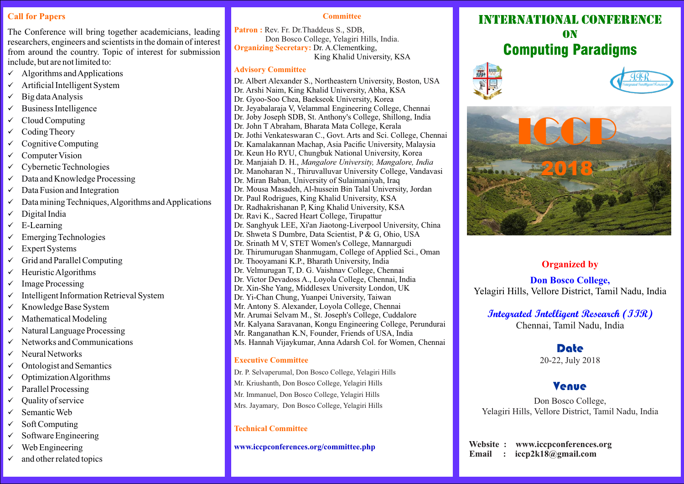# **Call for Papers**

The Conference will bring together academicians, leading researchers, engineers and scientists in the domain of interest from around the country. Topic of interest for submission include, but are not limited to:

- $\checkmark$  Algorithms and Applications
- Artificial Intelligent System
- $\checkmark$  Big data Analysis
- $\checkmark$  Business Intelligence
- $\checkmark$  Cloud Computing
- $\checkmark$  Coding Theory
- $\checkmark$  Cognitive Computing
- $\checkmark$  Computer Vision
- $\checkmark$  Cybernetic Technologies
- $\checkmark$  Data and Knowledge Processing
- $\checkmark$  Data Fusion and Integration
- $\checkmark$  Data mining Techniques, Algorithms and Applications
- $\checkmark$  Digital India
- $\checkmark$  E-Learning
- $\checkmark$  Emerging Technologies
- $\checkmark$  Expert Systems
- $\checkmark$  Grid and Parallel Computing
- $\checkmark$  Heuristic Algorithms
- $\checkmark$  Image Processing
- $\checkmark$  Intelligent Information Retrieval System
- $\times$  Knowledge Base System
- $\checkmark$  Mathematical Modeling
- $\checkmark$  Natural Language Processing
- $\checkmark$  Networks and Communications
- $\checkmark$  Neural Networks
- $\checkmark$  Ontologist and Semantics
- $\checkmark$  Optimization Algorithms
- $\checkmark$  Parallel Processing
- $\checkmark$  Ouality of service
- $\checkmark$  Semantic Web
- $\checkmark$  Soft Computing
- $\checkmark$  Software Engineering
- $\checkmark$  Web Engineering
- $\checkmark$  and other related topics

#### **Committee**

Patron : Rev. Fr. Dr. Thaddeus S., SDB, Don Bosco College, Yelagiri Hills, India. **Organizing Secretary:** Dr. A.Clementking, King Khalid University, KSA

#### **Advisory Committee**

Dr. Albert Alexander S., Northeastern University, Boston, USA Dr. Arshi Naim, King Khalid University, Abha, KSA Dr. Gyoo-Soo Chea, Baekseok University, Korea Dr. Jeyabalaraja V, Velammal Engineering College, Chennai Dr. Joby Joseph SDB, St. Anthony's College, Shillong, India Dr. John T Abraham, Bharata Mata College, Kerala Dr. Jothi Venkateswaran C., Govt. Arts and Sci. College, Chennai Dr. Kamalakannan Machap, Asia Pacific University, Malaysia Dr. Keun Ho RYU, Chungbuk National University, Korea Dr. Manjaiah D. H., *Mangalore University, Mangalore, India* Dr. Manoharan N., Thiruvalluvar University College, Vandavasi Dr. Miran Baban, University of Sulaimaniyah, Iraq Dr. Mousa Masadeh, Al-hussein Bin Talal University, Jordan Dr. Paul Rodrigues, King Khalid University, KSA Dr. Radhakrishanan P, King Khalid University, KSA Dr. Ravi K., Sacred Heart College, Tirupattur Dr. Sanghyuk LEE, Xi'an Jiaotong-Liverpool University, China Dr. Shweta S Dumbre, Data Scientist, P & G, Ohio, USA Dr. Srinath M V, STET Women's College, Mannargudi Dr. Thirumurugan Shanmugam, College of Applied Sci., Oman Dr. Thooyamani K.P., Bharath University, India Dr. Velmurugan T, D. G. Vaishnav College, Chennai Dr. Victor Devadoss A., Loyola College, Chennai, India Dr. Xin-She Yang, Middlesex University London, UK Dr. Yi-Chan Chung, Yuanpei University, Taiwan Mr. Antony S. Alexander, Loyola College, Chennai Mr. Arumai Selvam M., St. Joseph's College, Cuddalore Mr. Kalyana Saravanan, Kongu Engineering College, Perundurai Mr. Ranganathan K.N, Founder, Friends of USA, India Ms. Hannah Vijaykumar, Anna Adarsh Col. for Women, Chennai

### **Executive Committee**

- Dr. P. Selvaperumal, Don Bosco College, Yelagiri Hills
- Mr. Kriushanth, Don Bosco College, Yelagiri Hills
- Mr. Immanuel, Don Bosco College, Yelagiri Hills
- Mrs. Jayamary, Don Bosco College, Yelagiri Hills

### **Technical Committee**

#### **www.iccpconferences.org/committee.php**

# INTERNATIONAL CONFERE **ON** Computing Paradigms







# **Organized by**

**Don Bosco College,** Yelagiri Hills, Vellore District, Tamil Nadu, India

# **Integrated Intelligent Research (IIR)** Chennai, Tamil Nadu, India

# Date

20-22, July 2018

# Venue

Don Bosco College, Yelagiri Hills, Vellore District, Tamil Nadu, India

 **Website : www.iccpconferences.org Email : iccp2k18@gmail.com**